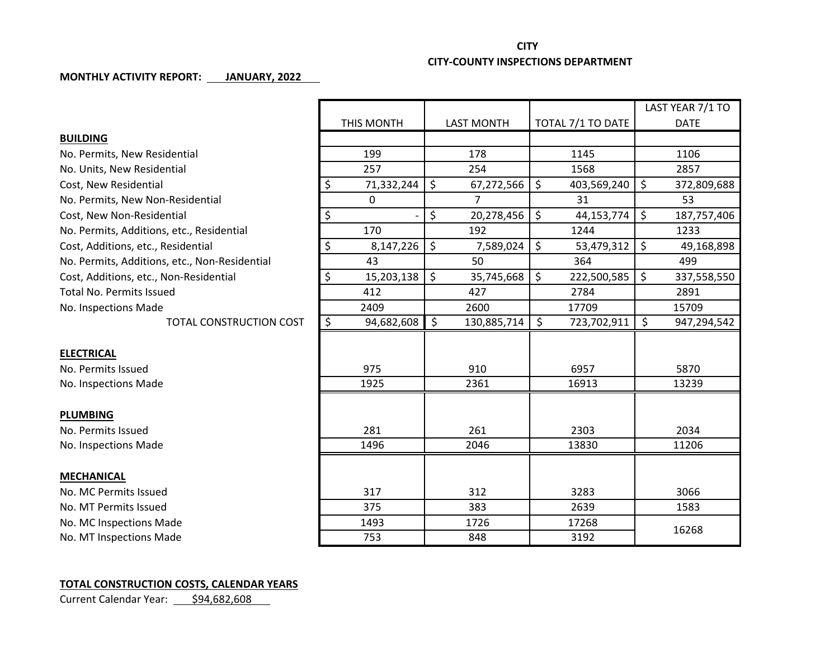## **CITY CITY-COUNTY INSPECTIONS DEPARTMENT**

## **MONTHLY ACTIVITY REPORT: JANUARY, 2022**

|                                               |                       |                                   |                        | LAST YEAR 7/1 TO  |
|-----------------------------------------------|-----------------------|-----------------------------------|------------------------|-------------------|
|                                               | THIS MONTH            | <b>LAST MONTH</b>                 | TOTAL 7/1 TO DATE      | <b>DATE</b>       |
| <b>BUILDING</b>                               |                       |                                   |                        |                   |
| No. Permits, New Residential                  | 199                   | 178                               | 1145                   | 1106              |
| No. Units, New Residential                    | 257                   | 254                               | 1568                   | 2857              |
| Cost, New Residential                         | $\zeta$<br>71,332,244 | \$<br>67,272,566                  | $\zeta$<br>403,569,240 | \$<br>372,809,688 |
| No. Permits, New Non-Residential              | $\Omega$              | $\overline{7}$                    | 31                     | 53                |
| Cost, New Non-Residential                     | \$                    | \$<br>20,278,456                  | $\zeta$<br>44,153,774  | \$<br>187,757,406 |
| No. Permits, Additions, etc., Residential     | 170                   | 192                               | 1244                   | 1233              |
| Cost, Additions, etc., Residential            | \$<br>8,147,226       | \$<br>7,589,024                   | $\zeta$<br>53,479,312  | \$<br>49,168,898  |
| No. Permits, Additions, etc., Non-Residential | 43                    | 50                                | 364                    | 499               |
| Cost, Additions, etc., Non-Residential        | \$<br>15,203,138      | \$<br>35,745,668                  | $\zeta$<br>222,500,585 | \$<br>337,558,550 |
| <b>Total No. Permits Issued</b>               | 412                   | 427                               | 2784                   | 2891              |
| No. Inspections Made                          | 2409                  | 2600                              | 17709                  | 15709             |
| TOTAL CONSTRUCTION COST                       | $\zeta$<br>94,682,608 | $\mathsf{\dot{S}}$<br>130,885,714 | $\zeta$<br>723,702,911 | \$<br>947,294,542 |
|                                               |                       |                                   |                        |                   |
| <b>ELECTRICAL</b>                             |                       |                                   |                        |                   |
| No. Permits Issued                            | 975                   | 910                               | 6957                   | 5870              |
| No. Inspections Made                          | 1925                  | 2361                              | 16913                  | 13239             |
|                                               |                       |                                   |                        |                   |
| <b>PLUMBING</b>                               |                       |                                   |                        |                   |
| No. Permits Issued                            | 281                   | 261                               | 2303                   | 2034              |
| No. Inspections Made                          | 1496                  | 2046                              | 13830                  | 11206             |
|                                               |                       |                                   |                        |                   |
| <b>MECHANICAL</b>                             |                       |                                   |                        |                   |
| No. MC Permits Issued                         | 317                   | 312                               | 3283                   | 3066              |
| No. MT Permits Issued                         | 375                   | 383                               | 2639                   | 1583              |
| No. MC Inspections Made                       | 1493                  | 1726                              | 17268                  | 16268             |
| No. MT Inspections Made                       | 753                   | 848                               | 3192                   |                   |

## **TOTAL CONSTRUCTION COSTS, CALENDAR YEARS**

Current Calendar Year: \$94,682,608